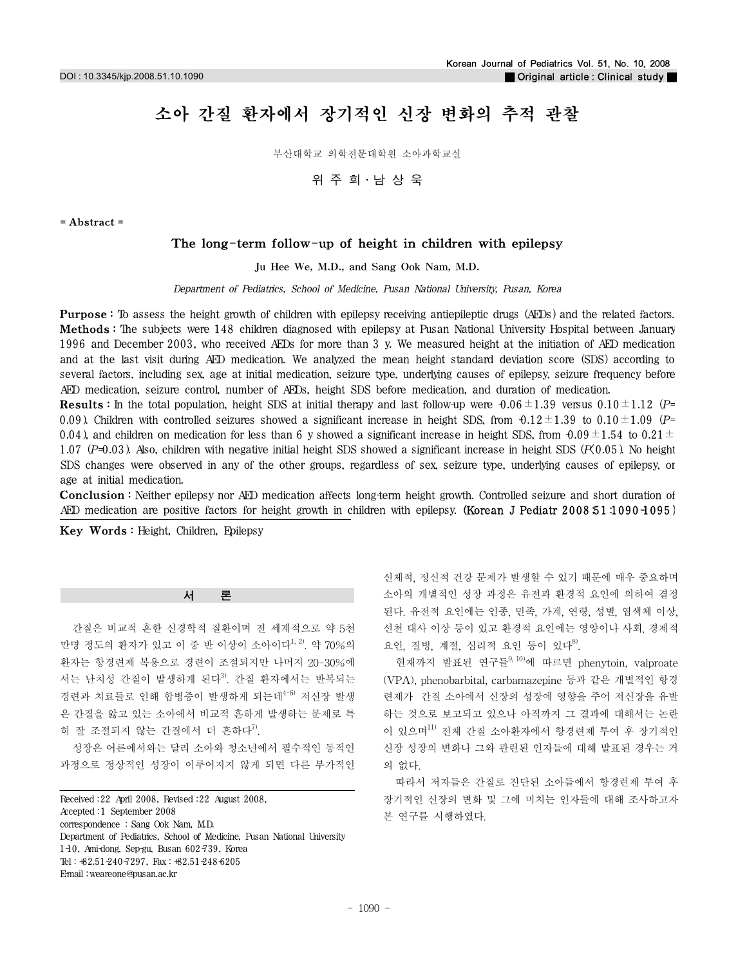# 소아 간질 환자에서 장기적인 신장 변화의 추적 관찰

부산대학교 의학전문대학원 소아과학교실

위주희·남상욱

= Abstract =

# The long-term follow-up of height in children with epilepsy

Ju Hee We, M.D., and Sang Ook Nam, M.D.

Department of Pediatrics, School of Medicine, Pusan National University, Pusan, Korea

Purpose : To assess the height growth of children with epilepsy receiving antiepileptic drugs (AEDs) and the related factors. Methods : The subjects were 148 children diagnosed with epilepsy at Pusan National University Hospital between January 1996 and December 2003, who received AEDs for more than 3 y. We measured height at the initiation of AED medication and at the last visit during AED medication. We analyzed the mean height standard deviation score (SDS) according to several factors, including sex, age at initial medication, seizure type, underlying causes of epilepsy, seizure frequency before AED medication, seizure control, number of AEDs, height SDS before medication, and duration of medication.

**Results**: In the total population, height SDS at initial therapy and last follow-up were  $\theta.06 \pm 1.39$  versus  $0.10 \pm 1.12$  (P= 0.09). Children with controlled seizures showed a significant increase in height SDS, from  $0.12 \pm 1.39$  to  $0.10 \pm 1.09$  (P= 0.04), and children on medication for less than 6 y showed a significant increase in height SDS, from  $0.09 \pm 1.54$  to 0.21 $\pm$ 1.07 (P=0.03). Also, children with negative initial height SDS showed a significant increase in height SDS ( $R(0.05)$ ). No height SDS changes were observed in any of the other groups, regardless of sex, seizure type, underlying causes of epilepsy, or age at initial medication.

Conclusion : Neither epilepsy nor AED medication affects long-term height growth. Controlled seizure and short duration of AED medication are positive factors for height growth in children with epilepsy. (Korean J Pediatr  $2008.51 \cdot 1090 \cdot 1095$ )

Key Words : Height, Children, Epilepsy

서 론

간질은 비교적 흔한 신경학적 질환이며 전 세계적으로 약 5천 만명 정도의 환자가 있고 이 중 반 이상이 소아이다<sup>1, 2)</sup>. 약 70%의 환자는 항경련제 복용으로 경련이 조절되지만 나머지 20-30%에 서는 난치성 간질이 발생하게 된다<sup>3)</sup>. 간질 환자에서는 반복되는 경련과 치료들로 인해 합병증이 발생하게 되는데<sup>4-6)</sup> 저신장 발생 은 간질을 앓고 있는 소아에서 비교적 흔하게 발생하는 문제로 특 히 잘 조절되지 않는 간질에서 더 흔하다<sup>7)</sup>.

성장은 어른에서와는 달리 소아와 청소년에서 필수적인 동적인 과정으로 정상적인 성장이 이루어지지 않게 되면 다른 부가적인

Received :22 April 2008, Revised :22 August 2008, Accepted :1 September 2008 correspondence : Sang Ook Nam, M.D. Department of Pediatrics, School of Medicine, Pusan National University 1 $-10$ , Ami-dong, Sep-gu, Busan  $602-739$ , Korea Tel:  $+82.51-240-7297$ , Fax:  $+82.51-248-6205$ E-mail :weareone@pusan.ac.kr

신체적, 정신적 건강 문제가 발생할 수 있기 때문에 매우 중요하며 소아의 개별적인 성장 과정은 유전과 환경적 요인에 의하여 결정 된다. 유전적 요인에는 인종, 민족, 가계, 연령, 성별, 염색체 이상, 선천 대사 이상 등이 있고 환경적 요인에는 영양이나 사회, 경제적 요인, 질병, 계절, 심리적 요인 등이 있다<sup>8)</sup>.

현재까지 발표된 연구들<sup>9, 10)</sup>에 따르면 phenytoin, valproate (VPA), phenobarbital, carbamazepine 등과 같은 개별적인 항경 련제가 간질 소아에서 신장의 성장에 영향을 주어 저신장을 유발 하는 것으로 보고되고 있으나 아직까지 그 결과에 대해서는 논란 이 있으며11) 전체 간질 소아환자에서 항경련제 투여 후 장기적인 신장 성장의 변화나 그와 관련된 인자들에 대해 발표된 경우는 거 의 없다.

따라서 저자들은 간질로 진단된 소아들에서 항경련제 투여 후 장기적인 신장의 변화 및 그에 미치는 인자들에 대해 조사하고자 본 연구를 시행하였다.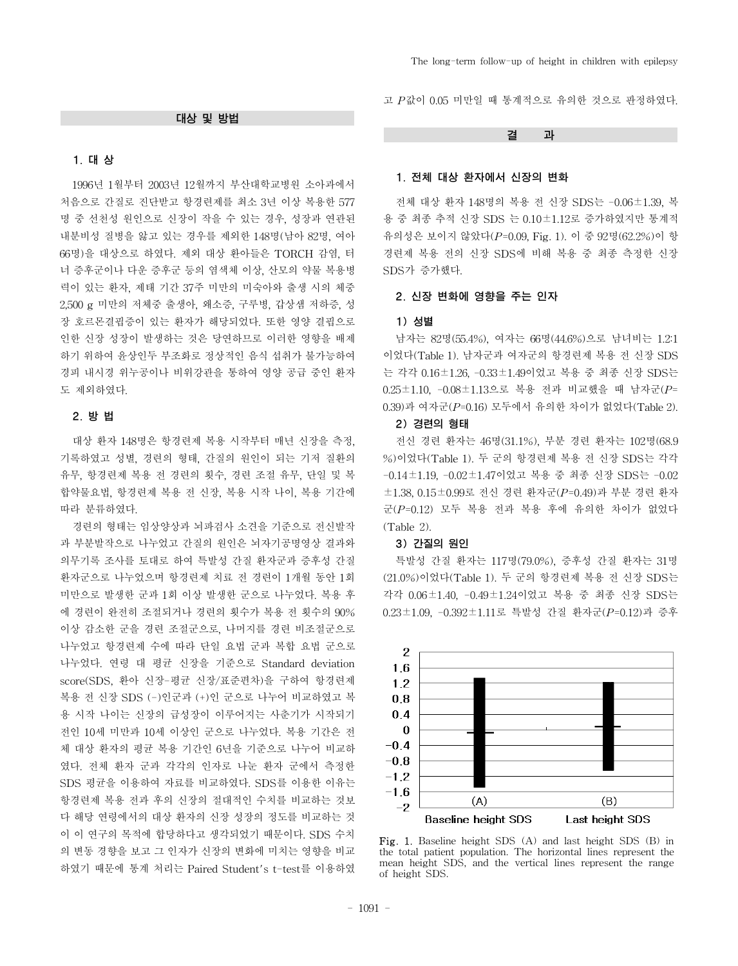#### 대상 및 방법

# 1. 대 상

1996년 1월부터 2003년 12월까지 부산대학교병원 소아과에서 처음으로 간질로 진단받고 항경련제를 최소 3년 이상 복용한 577 명 중 선천성 원인으로 신장이 작을 수 있는 경우, 성장과 연관된 내분비성 질병을 앓고 있는 경우를 제외한 148명(남아 82명, 여아 66명)을 대상으로 하였다. 제외 대상 환아들은 TORCH 감염, 터 너 증후군이나 다운 증후군 등의 염색체 이상, 산모의 약물 복용병 력이 있는 환자, 제태 기간 37주 미만의 미숙아와 출생 시의 체중 2,500 g 미만의 저체중 출생아, 왜소증, 구루병, 갑상샘 저하증, 성 장 호르몬결핍증이 있는 환자가 해당되었다. 또한 영양 결핍으로 인한 신장 성장이 발생하는 것은 당연하므로 이러한 영향을 배제 하기 위하여 윤상인두 부조화로 정상적인 음식 섭취가 불가능하여 경피 내시경 위누공이나 비위강관을 통하여 영양 공급 중인 환자 도 제외하였다.

# 2. 방 법

대상 환자 148명은 항경련제 복용 시작부터 매년 신장을 측정, 기록하였고 성별, 경련의 형태, 간질의 원인이 되는 기저 질환의 유무, 항경련제 복용 전 경련의 횟수, 경련 조절 유무, 단일 및 복 합약물요법, 항경련제 복용 전 신장, 복용 시작 나이, 복용 기간에 따라 분류하였다.

경련의 형태는 임상양상과 뇌파검사 소견을 기준으로 전신발작 과 부분발작으로 나누었고 간질의 원인은 뇌자기공명영상 결과와 의무기록 조사를 토대로 하여 특발성 간질 환자군과 증후성 간질 환자군으로 나누었으며 항경련제 치료 전 경련이 1개월 동안 1회 미만으로 발생한 군과 1회 이상 발생한 군으로 나누었다. 복용 후 에 경련이 완전히 조절되거나 경련의 횟수가 복용 전 횟수의 90% 이상 감소한 군을 경련 조절군으로, 나머지를 경련 비조절군으로 나누었고 항경련제 수에 따라 단일 요법 군과 복합 요법 군으로 나누었다. 연령 대 평균 신장을 기준으로 Standard deviation score(SDS, 환아 신장-평균 신장/표준편차)을 구하여 항경련제 복용 전 신장 SDS (-)인군과 (+)인 군으로 나누어 비교하였고 복 용 시작 나이는 신장의 급성장이 이루어지는 사춘기가 시작되기 전인 10세 미만과 10세 이상인 군으로 나누었다. 복용 기간은 전 체 대상 환자의 평균 복용 기간인 6년을 기준으로 나누어 비교하 였다. 전체 환자 군과 각각의 인자로 나눈 환자 군에서 측정한 SDS 평균을 이용하여 자료를 비교하였다. SDS를 이용한 이유는 항경련제 복용 전과 후의 신장의 절대적인 수치를 비교하는 것보 다 해당 연령에서의 대상 환자의 신장 성장의 정도를 비교하는 것 이 이 연구의 목적에 합당하다고 생각되었기 때문이다. SDS 수치 의 변동 경향을 보고 그 인자가 신장의 변화에 미치는 영향을 비교 하였기 때문에 통계 처리는 Paired Student's t-test를 이용하였

고 *P*값이 0.05 미만일 때 통계적으로 유의한 것으로 판정하였다.

결 과

#### 1. 전체 대상 환자에서 신장의 변화

전체 대상 환자 148명의 복용 전 신장 SDS는 -0.06±1.39, 복 용 중 최종 추적 신장 SDS 는 0.10±1.12로 증가하였지만 통계적 유의성은 보이지 않았다(*P*=0.09, Fig. 1). 이 중 92명(62.2%)이 항 경련제 복용 전의 신장 SDS에 비해 복용 중 최종 측정한 신장 SDS가 증가했다.

# 2. 신장 변화에 영향을 주는 인자

#### 1) 성별

남자는 82명(55.4%), 여자는 66명(44.6%)으로 남녀비는 1.2:1 이었다(Table 1). 남자군과 여자군의 항경련제 복용 전 신장 SDS 는 각각 0.16±1.26, -0.33±1.49이었고 복용 중 최종 신장 SDS는 0.25±1.10, -0.08±1.13으로 복용 전과 비교했을 때 남자군(*P*= 0.39)과 여자군(*P*=0.16) 모두에서 유의한 차이가 없었다(Table 2).

# 2) 경련의 형태

전신 경련 환자는 46명(31.1%), 부분 경련 환자는 102명(68.9 %)이었다(Table 1). 두 군의 항경련제 복용 전 신장 SDS는 각각 -0.14±1.19, -0.02±1.47이었고 복용 중 최종 신장 SDS는 -0.02 ±1.38, 0.15±0.99로 전신 경련 환자군(*P*=0.49)과 부분 경련 환자 군(*P*=0.12) 모두 복용 전과 복용 후에 유의한 차이가 없었다 (Table 2).

#### 3) 간질의 원인

특발성 간질 환자는 117명(79.0%), 증후성 간질 환자는 31명 (21.0%)이었다(Table 1). 두 군의 항경련제 복용 전 신장 SDS는 각각 0.06±1.40, -0.49±1.24이었고 복용 중 최종 신장 SDS는 0.23±1.09, -0.392±1.11로 특발성 간질 환자군(*P*=0.12)과 증후



Fig. 1. Baseline height SDS (A) and last height SDS (B) in the total patient population. The horizontal lines represent the mean height SDS, and the vertical lines represent the range of height SDS.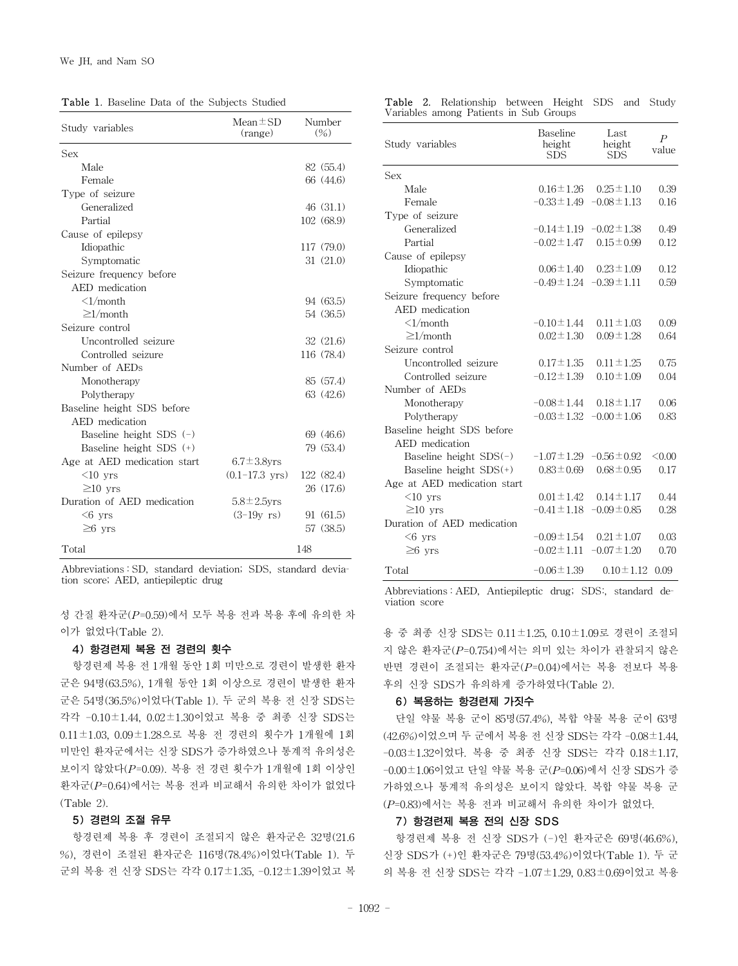Table 1. Baseline Data of the Subjects Studied

| Study variables             | $Mean \pm SD$<br>(range) | Number<br>(% ) |
|-----------------------------|--------------------------|----------------|
| Sex                         |                          |                |
| Male                        |                          | 82 (55.4)      |
| Female                      |                          | 66 (44.6)      |
| Type of seizure             |                          |                |
| Generalized                 |                          | 46(31.1)       |
| Partial                     |                          | 102 (68.9)     |
| Cause of epilepsy           |                          |                |
| Idiopathic                  |                          | 117 (79.0)     |
| Symptomatic                 |                          | 31(21.0)       |
| Seizure frequency before    |                          |                |
| AED medication              |                          |                |
| $\langle$ 1/month           |                          | 94 (63.5)      |
| $\geq$ 1/month              |                          | 54 (36.5)      |
| Seizure control             |                          |                |
| Uncontrolled seizure        |                          | 32(21.6)       |
| Controlled seizure          |                          | 116 (78.4)     |
| Number of AEDs              |                          |                |
| Monotherapy                 |                          | 85 (57.4)      |
| Polytherapy                 |                          | 63 (42.6)      |
| Baseline height SDS before  |                          |                |
| AED medication              |                          |                |
| Baseline height SDS $(-)$   |                          | 69 (46.6)      |
| Baseline height SDS (+)     |                          | 79 (53.4)      |
| Age at AED medication start | $6.7 \pm 3.8$ vrs        |                |
| $<$ 10 yrs                  | $(0.1 - 17.3$ yrs)       | 122 (82.4)     |
| $\geq$ 10 yrs               |                          | 26 (17.6)      |
| Duration of AED medication  | $5.8 \pm 2.5$ vrs        |                |
| $<$ 6 yrs                   | $(3-19y \text{ rs})$     | 91 (61.5)      |
| $\geq$ 6 yrs                |                          | 57 (38.5)      |
| Total                       |                          | 148            |

Abbreviations : SD, standard deviation; SDS, standard deviation score; AED, antiepileptic drug

성 간질 환자군(*P*=0.59)에서 모두 복용 전과 복용 후에 유의한 차 이가 없었다(Table 2).

## 4) 항경련제 복용 전 경련의 횟수

항경련제 복용 전 1개월 동안 1회 미만으로 경련이 발생한 환자 군은 94명(63.5%), 1개월 동안 1회 이상으로 경련이 발생한 환자 군은 54명(36.5%)이었다(Table 1). 두 군의 복용 전 신장 SDS는 각각 -0.10±1.44, 0.02±1.30이었고 복용 중 최종 신장 SDS는 0.11±1.03, 0.09±1.28으로 복용 전 경련의 횟수가 1개월에 1회 미만인 환자군에서는 신장 SDS가 증가하였으나 통계적 유의성은 보이지 않았다(*P*=0.09). 복용 전 경련 횟수가 1개월에 1회 이상인 환자군(*P*=0.64)에서는 복용 전과 비교해서 유의한 차이가 없었다 (Table 2).

## 5) 경련의 조절 유무

항경련제 복용 후 경련이 조절되지 않은 환자군은 32명(21.6 %), 경련이 조절된 환자군은 116명(78.4%)이었다(Table 1). 두 군의 복용 전 신장 SDS는 각각 0.17±1.35, -0.12±1.39이었고 복

Table 2. Relationship between Height SDS and Study Variables among Patients in Sub Groups

| Study variables             | Baseline<br>height<br><b>SDS</b>  | Last<br>height<br><b>SDS</b>      | $\boldsymbol{P}$<br>value |
|-----------------------------|-----------------------------------|-----------------------------------|---------------------------|
| Sex                         |                                   |                                   |                           |
| Male                        | $0.16 \pm 1.26$                   | $0.25 \pm 1.10$                   | 0.39                      |
| Female                      | $-0.33 \pm 1.49$                  | $-0.08 \pm 1.13$                  | 0.16                      |
| Type of seizure             |                                   |                                   |                           |
| Generalized                 |                                   | $-0.14 \pm 1.19$ $-0.02 \pm 1.38$ | 0.49                      |
| Partial                     | $-0.02 \pm 1.47$                  | $0.15 \pm 0.99$                   | 0.12                      |
| Cause of epilepsy           |                                   |                                   |                           |
| Idiopathic                  | $0.06 \pm 1.40$                   | $0.23 \pm 1.09$                   | 0.12                      |
| Symptomatic                 | $-0.49 \pm 1.24$ $-0.39 \pm 1.11$ |                                   | 0.59                      |
| Seizure frequency before    |                                   |                                   |                           |
| AED medication              |                                   |                                   |                           |
| $\langle$ 1/month           | $-0.10 \pm 1.44$                  | $0.11 \pm 1.03$                   | 0.09                      |
| $\geq$ 1/month              | $0.02 \pm 1.30$                   | $0.09 \pm 1.28$                   | 0.64                      |
| Seizure control             |                                   |                                   |                           |
| Uncontrolled seizure        | $0.17 \pm 1.35$                   | $0.11 \pm 1.25$                   | 0.75                      |
| Controlled seizure          | $-0.12 \pm 1.39$                  | $0.10 \pm 1.09$                   | 0.04                      |
| Number of AEDs              |                                   |                                   |                           |
| Monotherapy                 | $-0.08 \pm 1.44$                  | $0.18 \pm 1.17$                   | 0.06                      |
| Polytherapy                 | $-0.03 \pm 1.32$                  | $-0.00 \pm 1.06$                  | 0.83                      |
| Baseline height SDS before  |                                   |                                   |                           |
| AED medication              |                                   |                                   |                           |
| Baseline height $SDS(-)$    | $-1.07 \pm 1.29$                  | $-0.56 \pm 0.92$                  | < 0.00                    |
| Baseline height $SDS(+)$    | $0.83 \pm 0.69$                   | $0.68 \pm 0.95$                   | 0.17                      |
| Age at AED medication start |                                   |                                   |                           |
| $<10$ vrs                   | $0.01 \pm 1.42$                   | $0.14 \pm 1.17$                   | 0.44                      |
| $\geq$ 10 vrs               | $-0.41 \pm 1.18$                  | $-0.09 \pm 0.85$                  | 0.28                      |
| Duration of AED medication  |                                   |                                   |                           |
| $<6$ yrs                    | $-0.09 \pm 1.54$                  | $0.21 \pm 1.07$                   | 0.03                      |
| $\geq$ 6 yrs                | $-0.02 \pm 1.11$                  | $-0.07 \pm 1.20$                  | 0.70                      |
| Total                       | $-0.06 \pm 1.39$                  | $0.10 \pm 1.12$                   | 0.09                      |

Abbreviations : AED, Antiepileptic drug; SDS:, standard deviation score

용 중 최종 신장 SDS는 0.11±1.25, 0.10±1.09로 경련이 조절되 지 않은 환자군(*P*=0.754)에서는 의미 있는 차이가 관찰되지 않은 반면 경련이 조절되는 환자군(*P*=0.04)에서는 복용 전보다 복용 후의 신장 SDS가 유의하게 증가하였다(Table 2).

## 6) 복용하는 항경련제 가짓수

단일 약물 복용 군이 85명(57.4%), 복합 약물 복용 군이 63명 (42.6%)이었으며 두 군에서 복용 전 신장 SDS는 각각 -0.08±1.44, -0.03±1.32이었다. 복용 중 최종 신장 SDS는 각각 0.18±1.17, -0.00±1.06이었고 단일 약물 복용 군(*P*=0.06)에서 신장 SDS가 증 가하였으나 통계적 유의성은 보이지 않았다. 복합 약물 복용 군 (*P*=0.83)에서는 복용 전과 비교해서 유의한 차이가 없었다.

## 7) 항경련제 복용 전의 신장 SDS

항경련제 복용 전 신장 SDS가 (-)인 환자군은 69명(46.6%), 신장 SDS가 (+)인 환자군은 79명(53.4%)이었다(Table 1). 두 군 의 복용 전 신장 SDS는 각각 -1.07±1.29, 0.83±0.69이었고 복용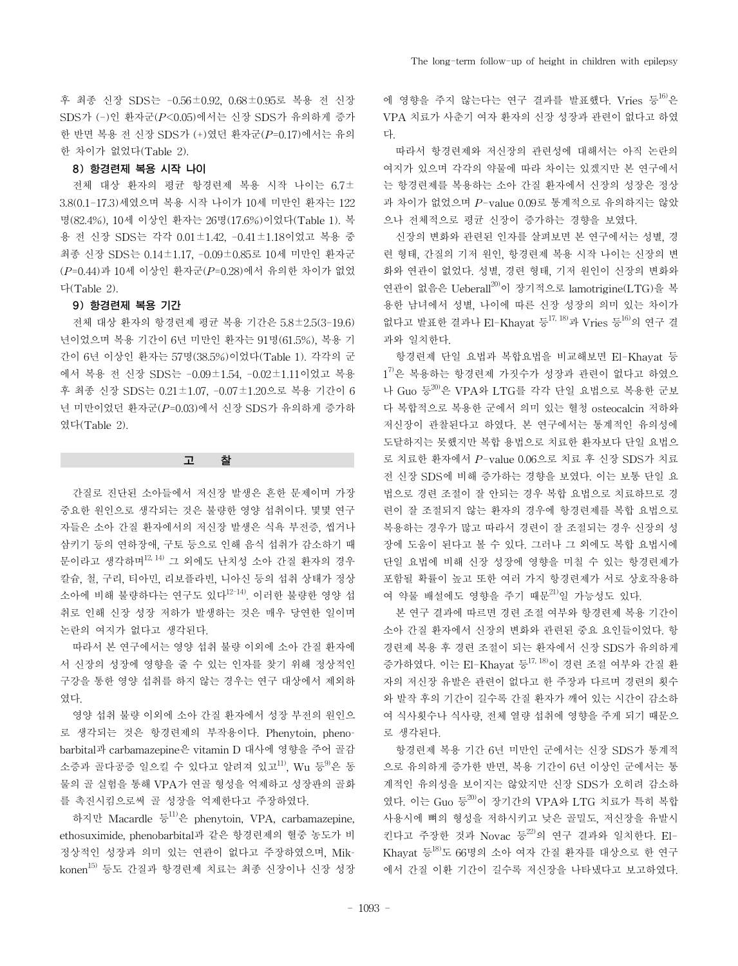후 최종 신장 SDS는 -0.56±0.92, 0.68±0.95로 복용 전 신장 SDS가 (-)인 환자군(*P*<0.05)에서는 신장 SDS가 유의하게 증가 한 반면 복용 전 신장 SDS가 (+)였던 환자군(*P*=0.17)에서는 유의 한 차이가 없었다(Table 2).

# 8) 항경련제 복용 시작 나이

전체 대상 환자의 평균 항경련제 복용 시작 나이는 6.7± 3.8(0.1-17.3)세였으며 복용 시작 나이가 10세 미만인 환자는 122 명(82.4%), 10세 이상인 환자는 26명(17.6%)이었다(Table 1). 복 용 전 신장 SDS는 각각 0.01±1.42, -0.41±1.18이었고 복용 중 최종 신장 SDS는 0.14±1.17, -0.09±0.85로 10세 미만인 환자군 (*P*=0.44)과 10세 이상인 환자군(*P*=0.28)에서 유의한 차이가 없었 다(Table 2).

## 9) 항경련제 복용 기간

전체 대상 환자의 항경련제 평균 복용 기간은 5.8±2.5(3-19.6) 년이었으며 복용 기간이 6년 미만인 환자는 91명(61.5%), 복용 기 간이 6년 이상인 환자는 57명(38.5%)이었다(Table 1). 각각의 군 에서 복용 전 신장 SDS는 -0.09±1.54, -0.02±1.11이었고 복용 후 최종 신장 SDS는 0.21±1.07, -0.07±1.20으로 복용 기간이 6 년 미만이었던 환자군(*P*=0.03)에서 신장 SDS가 유의하게 증가하 였다(Table 2).

고 찰

간질로 진단된 소아들에서 저신장 발생은 흔한 문제이며 가장 중요한 원인으로 생각되는 것은 불량한 영양 섭취이다. 몇몇 연구 자들은 소아 간질 환자에서의 저신장 발생은 식욕 부전증, 씹거나 삼키기 등의 연하장애, 구토 등으로 인해 음식 섭취가 감소하기 때 문이라고 생각하며12, 14) 그 외에도 난치성 소아 간질 환자의 경우 칼슘, 철, 구리, 티아민, 리보플라빈, 니아신 등의 섭취 상태가 정상 소아에 비해 불량하다는 연구도 있다12-14). 이러한 불량한 영양 섭 취로 인해 신장 성장 저하가 발생하는 것은 매우 당연한 일이며 논란의 여지가 없다고 생각된다.

따라서 본 연구에서는 영양 섭취 불량 이외에 소아 간질 환자에 서 신장의 성장에 영향을 줄 수 있는 인자를 찾기 위해 정상적인 구강을 통한 영양 섭취를 하지 않는 경우는 연구 대상에서 제외하 였다.

영양 섭취 불량 이외에 소아 간질 환자에서 성장 부전의 원인으 로 생각되는 것은 항경련제의 부작용이다. Phenytoin, phenobarbital과 carbamazepine은 vitamin D 대사에 영향을 주어 골감 소증과 골다공증 일으킬 수 있다고 알려져 있고<sup>11)</sup>, Wu 등 9은 동 물의 골 실험을 통해 VPA가 연골 형성을 억제하고 성장판의 골화 를 촉진시킴으로써 골 성장을 억제한다고 주장하였다.

하지만 Macardle 등 $^{11)}$ 은 phenytoin, VPA, carbamazepine, ethosuximide, phenobarbital과 같은 항경련제의 혈중 농도가 비 정상적인 성장과 의미 있는 연관이 없다고 주장하였으며, Mikkonen<sup>15)</sup> 등도 간질과 항경련제 치료는 최종 신장이나 신장 성장 에 영향을 주지 않는다는 연구 결과를 발표했다. Vries 등16)은 VPA 치료가 사춘기 여자 환자의 신장 성장과 관련이 없다고 하였 다.

따라서 항경련제와 저신장의 관련성에 대해서는 아직 논란의 여지가 있으며 각각의 약물에 따라 차이는 있겠지만 본 연구에서 는 항경련제를 복용하는 소아 간질 환자에서 신장의 성장은 정상 과 차이가 없었으며 *P*-value 0.09로 통계적으로 유의하지는 않았 으나 전체적으로 평균 신장이 증가하는 경향을 보였다.

신장의 변화와 관련된 인자를 살펴보면 본 연구에서는 성별, 경 련 형태, 간질의 기저 원인, 항경련제 복용 시작 나이는 신장의 변 화와 연관이 없었다. 성별, 경련 형태, 기저 원인이 신장의 변화와 연관이 없음은 Ueberall20)이 장기적으로 lamotrigine(LTG)을 복 용한 남녀에서 성별, 나이에 따른 신장 성장의 의미 있는 차이가 없다고 발표한 결과나 El-Khavat 등 $^{17,18)}$ 과 Vries 등 $^{16)}$ 의 연구 결 과와 일치한다.

항경련제 단일 요법과 복합요법을 비교해보면 El-Khayat 등 1 7)은 복용하는 항경련제 가짓수가 성장과 관련이 없다고 하였으 나 Guo 등20)은 VPA와 LTG를 각각 단일 요법으로 복용한 군보 다 복합적으로 복용한 군에서 의미 있는 혈청 osteocalcin 저하와 저신장이 관찰된다고 하였다. 본 연구에서는 통계적인 유의성에 도달하지는 못했지만 복합 용법으로 치료한 환자보다 단일 요법으 로 치료한 환자에서 *P*-value 0.06으로 치료 후 신장 SDS가 치료 전 신장 SDS에 비해 증가하는 경향을 보였다. 이는 보통 단일 요 법으로 경련 조절이 잘 안되는 경우 복합 요법으로 치료하므로 경 련이 잘 조절되지 않는 환자의 경우에 항경련제를 복합 요법으로 복용하는 경우가 많고 따라서 경련이 잘 조절되는 경우 신장의 성 장에 도움이 된다고 볼 수 있다. 그러나 그 외에도 복합 요법시에 단일 요법에 비해 신장 성장에 영향을 미칠 수 있는 항경련제가 포함될 확률이 높고 또한 여러 가지 항경련제가 서로 상호작용하 여 약물 배설에도 영향을 주기 때문<sup>21)</sup>일 가능성도 있다.

본 연구 결과에 따르면 경련 조절 여부와 항경련제 복용 기간이 소아 간질 환자에서 신장의 변화와 관련된 중요 요인들이었다. 항 경련제 복용 후 경련 조절이 되는 환자에서 신장 SDS가 유의하게 증가하였다. 이는 El-Khayat 등<sup>17, 18)</sup>이 경련 조절 여부와 간질 환 자의 저신장 유발은 관련이 없다고 한 주장과 다르며 경련의 횟수 와 발작 후의 기간이 길수록 간질 환자가 깨어 있는 시간이 감소하 여 식사횟수나 식사량, 전체 열량 섭취에 영향을 주게 되기 때문으 로 생각된다.

항경련제 복용 기간 6년 미만인 군에서는 신장 SDS가 통계적 으로 유의하게 증가한 반면, 복용 기간이 6년 이상인 군에서는 통 계적인 유의성을 보이지는 않았지만 신장 SDS가 오히려 감소하 였다. 이는 Guo 등20 이 장기간의 VPA와 LTG 치료가 특히 복합 사용시에 뼈의 형성을 저하시키고 낮은 골밀도, 저신장을 유발시 킨다고 주장한 것과 Novac 등 $^{22)}$ 의 연구 결과와 일치한다. El-Khavat 등 $^{18)}$ 도 66명의 소아 여자 간질 환자를 대상으로 한 연구 에서 간질 이환 기간이 길수록 저신장을 나타냈다고 보고하였다.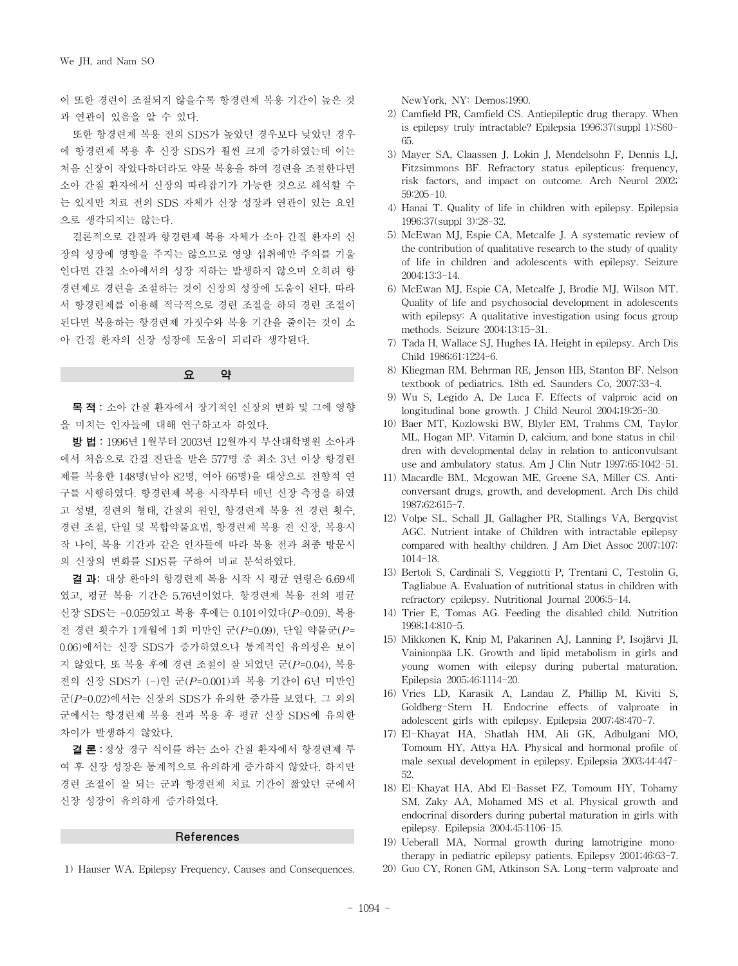이 또한 경련이 조절되지 않을수록 항경련제 복용 기간이 높은 것 과 연관이 있음을 알 수 있다.

또한 항경련제 복용 전의 SDS가 높았던 경우보다 낮았던 경우 에 항경련제 복용 후 신장 SDS가 훨씬 크게 증가하였는데 이는 처음 신장이 작았다하더라도 약물 복용을 하여 경련을 조절한다면 소아 간질 환자에서 신장의 따라잡기가 가능한 것으로 해석할 수 는 있지만 치료 전의 SDS 자체가 신장 성장과 연관이 있는 요인 으로 생각되지는 않는다.

결론적으로 간질과 항경련제 복용 자체가 소아 간질 환자의 신 장의 성장에 영향을 주지는 않으므로 영양 섭취에만 주의를 기울 인다면 간질 소아에서의 성장 저하는 발생하지 않으며 오히려 항 경련제로 경련을 조절하는 것이 신장의 성장에 도움이 된다. 따라 서 항경련제를 이용해 적극적으로 경련 조절을 하되 경련 조절이 된다면 복용하는 항경련제 가짓수와 복용 기간을 줄이는 것이 소 아 간질 환자의 신장 성장에 도움이 되리라 생각된다.

목적: 소아 간질 환자에서 장기적인 신장의 변화 및 그에 영향 을 미치는 인자들에 대해 연구하고자 하였다.

요 약

방법: 1996년 1월부터 2003년 12월까지 부산대학병원 소아과 에서 처음으로 간질 진단을 받은 577명 중 최소 3년 이상 항경련 제를 복용한 148명(남아 82명, 여아 66명)을 대상으로 전향적 연 구를 시행하였다. 항경련제 복용 시작부터 매년 신장 측정을 하였 고 성별, 경련의 형태, 간질의 원인, 항경련제 복용 전 경련 횟수, 경련 조절, 단일 및 복합약물요법, 항경련제 복용 전 신장, 복용시 작 나이, 복용 기간과 같은 인자들에 따라 복용 전과 최종 방문시 의 신장의 변화를 SDS를 구하여 비교 분석하였다.

결 과: 대상 환아의 항경련제 복용 시작 시 평균 연령은 6.69세 였고, 평균 복용 기간은 5.76년이었다. 항경련제 복용 전의 평균 신장 SDS는 -0.059였고 복용 후에는 0.101이었다(*P*=0.09). 복용 전 경련 횟수가 1개월에 1회 미만인 군(*P*=0.09), 단일 약물군(*P*= 0.06)에서는 신장 SDS가 증가하였으나 통계적인 유의성은 보이 지 않았다. 또 복용 후에 경련 조절이 잘 되었던 군(*P*=0.04), 복용 전의 신장 SDS가 (-)인 군(*P*=0.001)과 복용 기간이 6년 미만인 군(*P*=0.02)에서는 신장의 SDS가 유의한 증가를 보였다. 그 외의 군에서는 항경련제 복용 전과 복용 후 평균 신장 SDS에 유의한 차이가 발생하지 않았다.

결론:정상 경구 식이를 하는 소아 간질 환자에서 항경련제 투 여 후 신장 성장은 통계적으로 유의하게 증가하지 않았다. 하지만 경련 조절이 잘 되는 군과 항경련제 치료 기간이 짧았던 군에서 신장 성장이 유의하게 증가하였다.

#### References

1) Hauser WA. Epilepsy Frequency, Causes and Consequences.

NewYork, NY: Demos;1990.

- 2) Camfield PR, Camfield CS. Antiepileptic drug therapy. When is epilepsy truly intractable? Epilepsia 1996;37(suppl 1):S60- 65.
- 3) Mayer SA, Claassen J, Lokin J, Mendelsohn F, Dennis LJ, Fitzsimmons BF. Refractory status epilepticus: frequency, risk factors, and impact on outcome. Arch Neurol 2002; 59:205-10.
- 4) Hanai T. Quality of life in children with epilepsy. Epilepsia 1996;37(suppl 3):28-32.
- 5) McEwan MJ, Espie CA, Metcalfe J. A systematic review of the contribution of qualitative research to the study of quality of life in children and adolescents with epilepsy. Seizure 2004;13:3-14.
- 6) McEwan MJ, Espie CA, Metcalfe J, Brodie MJ, Wilson MT. Quality of life and psychosocial development in adolescents with epilepsy: A qualitative investigation using focus group methods. Seizure 2004;13:15-31.
- 7) Tada H, Wallace SJ, Hughes IA. Height in epilepsy. Arch Dis Child 1986;61:1224-6.
- 8) Kliegman RM, Behrman RE, Jenson HB, Stanton BF. Nelson textbook of pediatrics. 18th ed. Saunders Co, 2007:33-4.
- 9) Wu S, Legido A, De Luca F. Effects of valproic acid on longitudinal bone growth. J Child Neurol 2004;19:26-30.
- 10) Baer MT, Kozlowski BW, Blyler EM, Trahms CM, Taylor ML, Hogan MP. Vitamin D, calcium, and bone status in children with developmental delay in relation to anticonvulsant use and ambulatory status. Am J Clin Nutr 1997;65:1042-51.
- 11) Macardle BM., Mcgowan ME, Greene SA, Miller CS. Anticonversant drugs, growth, and development. Arch Dis child 1987;62:615-7.
- 12) Volpe SL, Schall JI, Gallagher PR, Stallings VA, Bergqvist AGC. Nutrient intake of Children with intractable epilepsy compared with healthy children. J Am Diet Assoc 2007;107: 1014-18.
- 13) Bertoli S, Cardinali S, Veggiotti P, Trentani C, Testolin G, Tagliabue A. Evaluation of nutritional status in children with refractory epilepsy. Nutritional Journal 2006;5-14.
- 14) Trier E, Tomas AG. Feeding the disabled child. Nutrition 1998;14:810-5.
- 15) Mikkonen K, Knip M, Pakarinen AJ, Lanning P, Isojärvi JI, Vainionpää LK. Growth and lipid metabolism in girls and young women with eilepsy during pubertal maturation. Epilepsia 2005;46:1114-20.
- 16) Vries LD, Karasik A, Landau Z, Phillip M, Kiviti S, Goldberg-Stern H. Endocrine effects of valproate in adolescent girls with epilepsy. Epilepsia 2007;48:470-7.
- 17) El-Khayat HA, Shatlah HM, Ali GK, Adbulgani MO, Tomoum HY, Attya HA. Physical and hormonal profile of male sexual development in epilepsy. Epilepsia 2003;44:447- 52.
- 18) El-Khayat HA, Abd El-Basset FZ, Tomoum HY, Tohamy SM, Zaky AA, Mohamed MS et al. Physical growth and endocrinal disorders during pubertal maturation in girls with epilepsy. Epilepsia 2004;45:1106-15.
- 19) Ueberall MA, Normal growth during lamotrigine monotherapy in pediatric epilepsy patients. Epilepsy 2001;46:63-7.
- 20) Guo CY, Ronen GM, Atkinson SA. Long-term valproate and